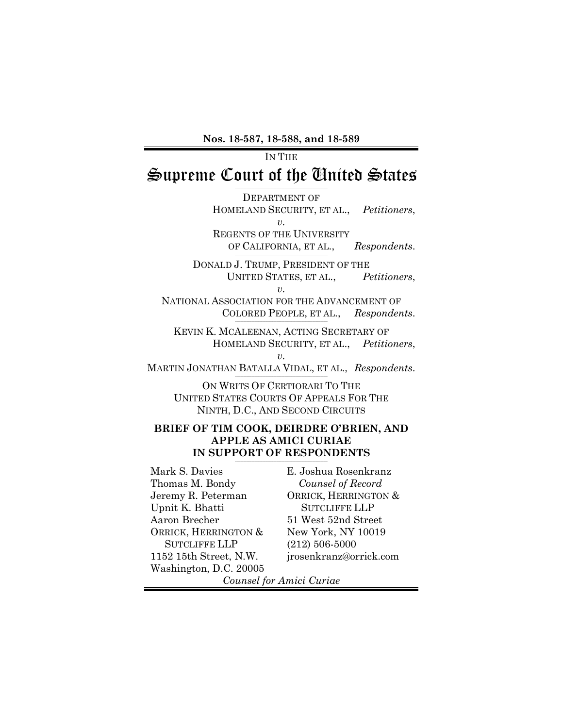**Nos. 18-587, 18-588, and 18-589** 

IN THE Supreme Court of the United States

> DEPARTMENT OF HOMELAND SECURITY, ET AL., *Petitioners*, *v.*  REGENTS OF THE UNIVERSITY

OF CALIFORNIA, ET AL., *Respondents*.

DONALD J. TRUMP, PRESIDENT OF THE UNITED STATES, ET AL., *Petitioners*,  $v<sub>i</sub>$ 

NATIONAL ASSOCIATION FOR THE ADVANCEMENT OF COLORED PEOPLE, ET AL., *Respondents*.

KEVIN K. MCALEENAN, ACTING SECRETARY OF HOMELAND SECURITY, ET AL., *Petitioners*, *v.* 

MARTIN JONATHAN BATALLA VIDAL, ET AL., *Respondents*.

ON WRITS OF CERTIORARI TO THE UNITED STATES COURTS OF APPEALS FOR THE NINTH, D.C., AND SECOND CIRCUITS

#### **BRIEF OF TIM COOK, DEIRDRE O'BRIEN, AND APPLE AS AMICI CURIAE IN SUPPORT OF RESPONDENTS**

Mark S. Davies Thomas M. Bondy Jeremy R. Peterman Upnit K. Bhatti Aaron Brecher ORRICK, HERRINGTON & SUTCLIFFE LLP 1152 15th Street, N.W. Washington, D.C. 20005

E. Joshua Rosenkranz *Counsel of Record*  ORRICK, HERRINGTON & SUTCLIFFE LLP 51 West 52nd Street New York, NY 10019 (212) 506-5000 jrosenkranz@orrick.com

*Counsel for Amici Curiae*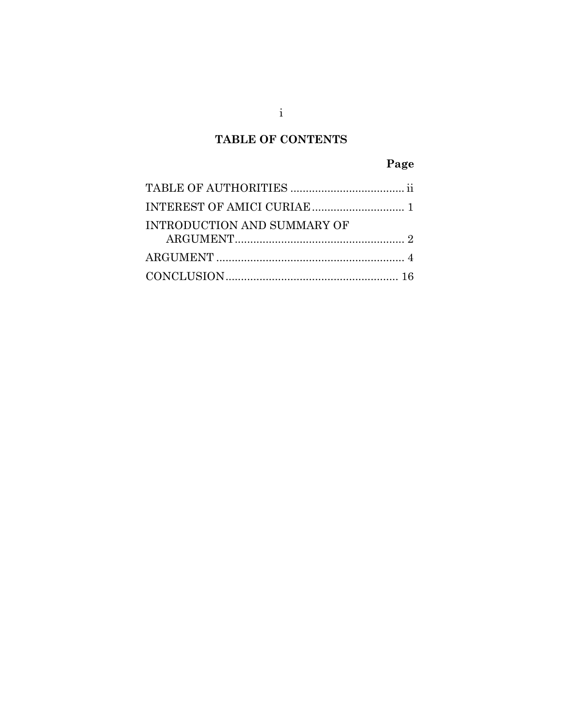# **TABLE OF CONTENTS**

# **Page**

| INTRODUCTION AND SUMMARY OF |  |
|-----------------------------|--|
|                             |  |
|                             |  |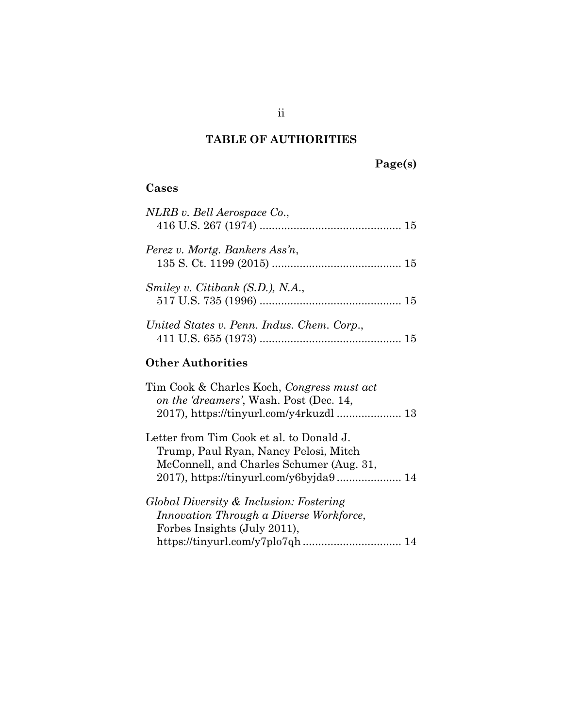## **TABLE OF AUTHORITIES**

# **Page(s)**

### <span id="page-2-0"></span>**Cases**

| NLRB v. Bell Aerospace Co.,                |  |
|--------------------------------------------|--|
| Perez v. Mortg. Bankers Ass'n,             |  |
| Smiley v. Citibank (S.D.), N.A.,           |  |
| United States v. Penn. Indus. Chem. Corp., |  |
| <b>Other Authorities</b>                   |  |
| Tim Cook & Charles Koch, Congress must act |  |

| on the 'dreamers', Wash. Post (Dec. 14,                                                                                       |  |
|-------------------------------------------------------------------------------------------------------------------------------|--|
|                                                                                                                               |  |
| Letter from Tim Cook et al. to Donald J.<br>Trump, Paul Ryan, Nancy Pelosi, Mitch<br>McConnell, and Charles Schumer (Aug. 31, |  |
|                                                                                                                               |  |
| Global Diversity & Inclusion: Fostering                                                                                       |  |

| Innovation Through a Diverse Workforce, |
|-----------------------------------------|
| Forbes Insights (July 2011),            |
|                                         |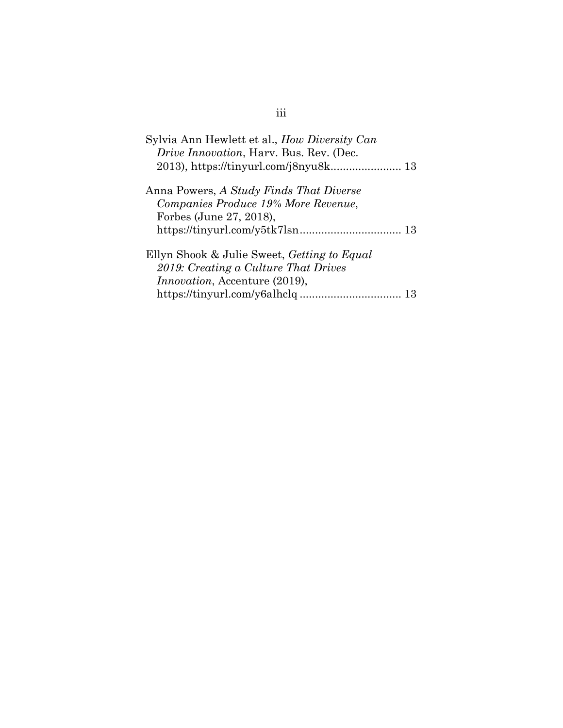# iii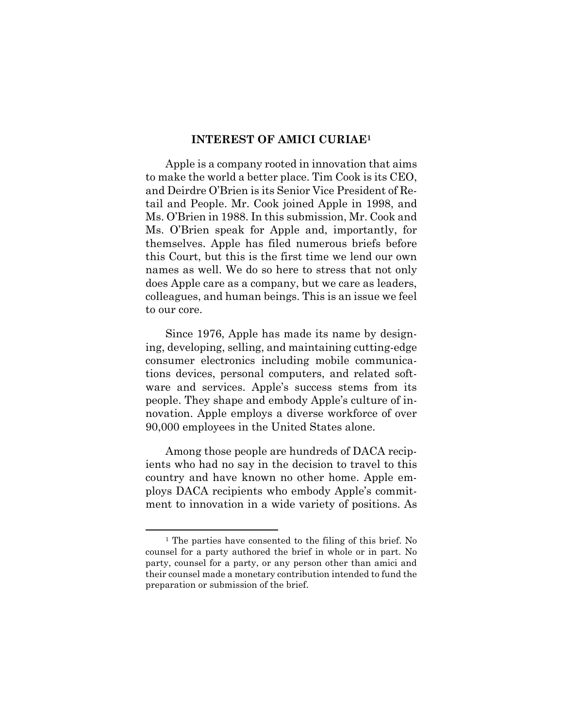#### **INTEREST OF AMICI CURIAE<sup>1</sup>**

<span id="page-4-0"></span>Apple is a company rooted in innovation that aims to make the world a better place. Tim Cook is its CEO, and Deirdre O'Brien is its Senior Vice President of Retail and People. Mr. Cook joined Apple in 1998, and Ms. O'Brien in 1988. In this submission, Mr. Cook and Ms. O'Brien speak for Apple and, importantly, for themselves. Apple has filed numerous briefs before this Court, but this is the first time we lend our own names as well. We do so here to stress that not only does Apple care as a company, but we care as leaders, colleagues, and human beings. This is an issue we feel to our core.

Since 1976, Apple has made its name by designing, developing, selling, and maintaining cutting-edge consumer electronics including mobile communications devices, personal computers, and related software and services. Apple's success stems from its people. They shape and embody Apple's culture of innovation. Apple employs a diverse workforce of over 90,000 employees in the United States alone.

Among those people are hundreds of DACA recipients who had no say in the decision to travel to this country and have known no other home. Apple employs DACA recipients who embody Apple's commitment to innovation in a wide variety of positions. As

l

<sup>1</sup> The parties have consented to the filing of this brief. No counsel for a party authored the brief in whole or in part. No party, counsel for a party, or any person other than amici and their counsel made a monetary contribution intended to fund the preparation or submission of the brief.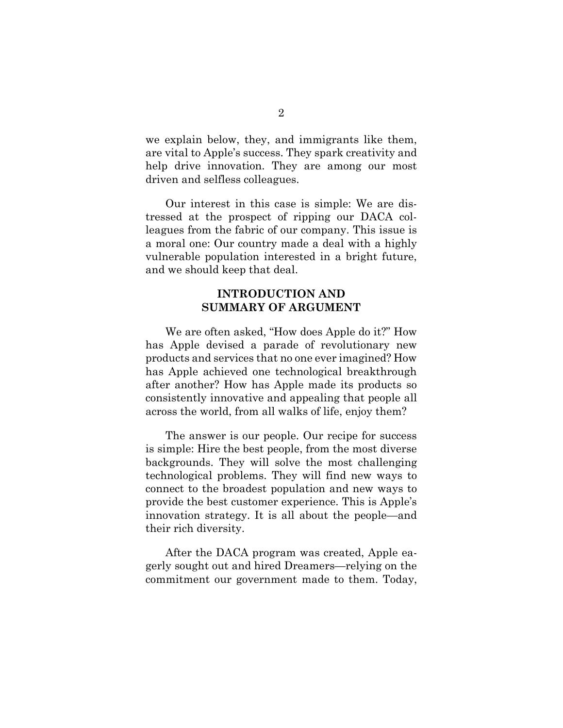we explain below, they, and immigrants like them, are vital to Apple's success. They spark creativity and help drive innovation. They are among our most driven and selfless colleagues.

Our interest in this case is simple: We are distressed at the prospect of ripping our DACA colleagues from the fabric of our company. This issue is a moral one: Our country made a deal with a highly vulnerable population interested in a bright future, and we should keep that deal.

### **INTRODUCTION AND SUMMARY OF ARGUMENT**

<span id="page-5-0"></span>We are often asked, "How does Apple do it?" How has Apple devised a parade of revolutionary new products and services that no one ever imagined? How has Apple achieved one technological breakthrough after another? How has Apple made its products so consistently innovative and appealing that people all across the world, from all walks of life, enjoy them?

The answer is our people. Our recipe for success is simple: Hire the best people, from the most diverse backgrounds. They will solve the most challenging technological problems. They will find new ways to connect to the broadest population and new ways to provide the best customer experience. This is Apple's innovation strategy. It is all about the people—and their rich diversity.

After the DACA program was created, Apple eagerly sought out and hired Dreamers—relying on the commitment our government made to them. Today,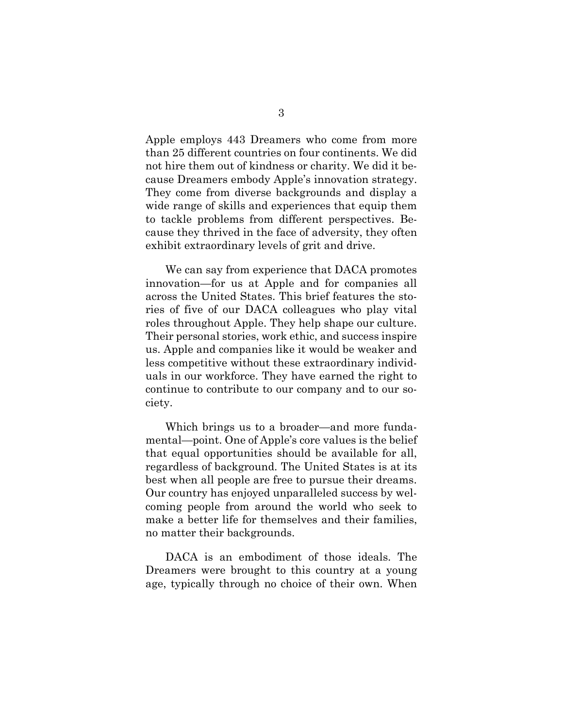Apple employs 443 Dreamers who come from more than 25 different countries on four continents. We did not hire them out of kindness or charity. We did it because Dreamers embody Apple's innovation strategy. They come from diverse backgrounds and display a wide range of skills and experiences that equip them to tackle problems from different perspectives. Because they thrived in the face of adversity, they often exhibit extraordinary levels of grit and drive.

We can say from experience that DACA promotes innovation—for us at Apple and for companies all across the United States. This brief features the stories of five of our DACA colleagues who play vital roles throughout Apple. They help shape our culture. Their personal stories, work ethic, and success inspire us. Apple and companies like it would be weaker and less competitive without these extraordinary individuals in our workforce. They have earned the right to continue to contribute to our company and to our society.

Which brings us to a broader—and more fundamental—point. One of Apple's core values is the belief that equal opportunities should be available for all, regardless of background. The United States is at its best when all people are free to pursue their dreams. Our country has enjoyed unparalleled success by welcoming people from around the world who seek to make a better life for themselves and their families, no matter their backgrounds.

DACA is an embodiment of those ideals. The Dreamers were brought to this country at a young age, typically through no choice of their own. When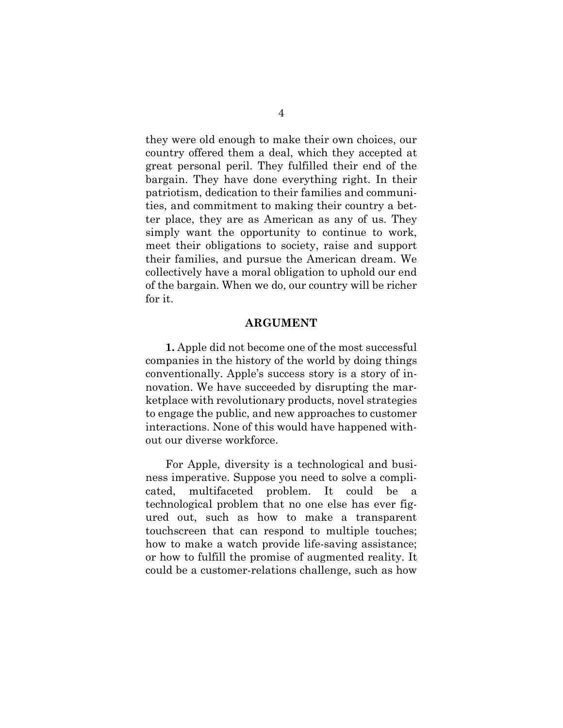they were old enough to make their own choices, our country offered them a deal, which they accepted at great personal peril. They fulfilled their end of the bargain. They have done everything right. In their patriotism, dedication to their families and communities, and commitment to making their country a better place, they are as American as any of us. They simply want the opportunity to continue to work, meet their obligations to society, raise and support their families, and pursue the American dream. We collectively have a moral obligation to uphold our end of the bargain. When we do, our country will be richer for it.

#### **ARGUMENT**

<span id="page-7-0"></span>**1.** Apple did not become one of the most successful companies in the history of the world by doing things conventionally. Apple's success story is a story of innovation. We have succeeded by disrupting the marketplace with revolutionary products, novel strategies to engage the public, and new approaches to customer interactions. None of this would have happened without our diverse workforce.

For Apple, diversity is a technological and business imperative. Suppose you need to solve a complicated, multifaceted problem. It could be a technological problem that no one else has ever figured out, such as how to make a transparent touchscreen that can respond to multiple touches; how to make a watch provide life-saving assistance; or how to fulfill the promise of augmented reality. It could be a customer-relations challenge, such as how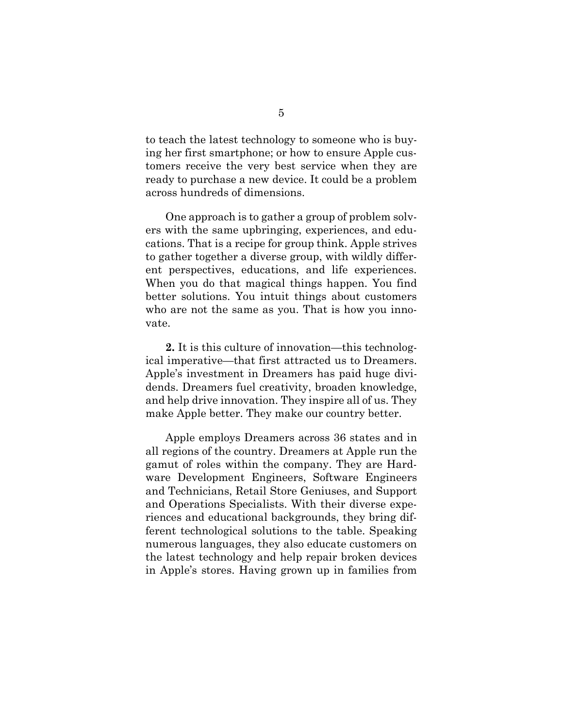to teach the latest technology to someone who is buying her first smartphone; or how to ensure Apple customers receive the very best service when they are ready to purchase a new device. It could be a problem across hundreds of dimensions.

One approach is to gather a group of problem solvers with the same upbringing, experiences, and educations. That is a recipe for group think. Apple strives to gather together a diverse group, with wildly different perspectives, educations, and life experiences. When you do that magical things happen. You find better solutions. You intuit things about customers who are not the same as you. That is how you innovate.

**2.** It is this culture of innovation—this technological imperative—that first attracted us to Dreamers. Apple's investment in Dreamers has paid huge dividends. Dreamers fuel creativity, broaden knowledge, and help drive innovation. They inspire all of us. They make Apple better. They make our country better.

Apple employs Dreamers across 36 states and in all regions of the country. Dreamers at Apple run the gamut of roles within the company. They are Hardware Development Engineers, Software Engineers and Technicians, Retail Store Geniuses, and Support and Operations Specialists. With their diverse experiences and educational backgrounds, they bring different technological solutions to the table. Speaking numerous languages, they also educate customers on the latest technology and help repair broken devices in Apple's stores. Having grown up in families from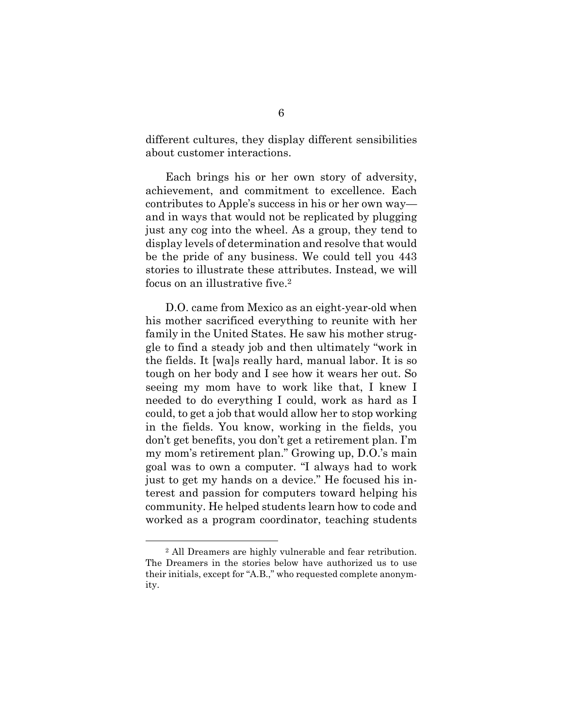different cultures, they display different sensibilities about customer interactions.

Each brings his or her own story of adversity, achievement, and commitment to excellence. Each contributes to Apple's success in his or her own way and in ways that would not be replicated by plugging just any cog into the wheel. As a group, they tend to display levels of determination and resolve that would be the pride of any business. We could tell you 443 stories to illustrate these attributes. Instead, we will focus on an illustrative five.<sup>2</sup>

D.O. came from Mexico as an eight-year-old when his mother sacrificed everything to reunite with her family in the United States. He saw his mother struggle to find a steady job and then ultimately "work in the fields. It [wa]s really hard, manual labor. It is so tough on her body and I see how it wears her out. So seeing my mom have to work like that, I knew I needed to do everything I could, work as hard as I could, to get a job that would allow her to stop working in the fields. You know, working in the fields, you don't get benefits, you don't get a retirement plan. I'm my mom's retirement plan." Growing up, D.O.'s main goal was to own a computer. "I always had to work just to get my hands on a device." He focused his interest and passion for computers toward helping his community. He helped students learn how to code and worked as a program coordinator, teaching students

l

<sup>2</sup> All Dreamers are highly vulnerable and fear retribution. The Dreamers in the stories below have authorized us to use their initials, except for "A.B.," who requested complete anonymity.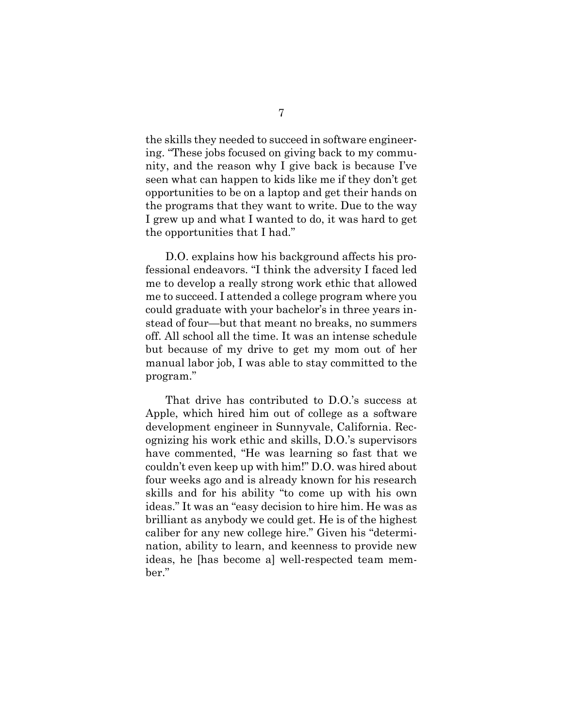the skills they needed to succeed in software engineering. "These jobs focused on giving back to my community, and the reason why I give back is because I've seen what can happen to kids like me if they don't get opportunities to be on a laptop and get their hands on the programs that they want to write. Due to the way I grew up and what I wanted to do, it was hard to get the opportunities that I had."

D.O. explains how his background affects his professional endeavors. "I think the adversity I faced led me to develop a really strong work ethic that allowed me to succeed. I attended a college program where you could graduate with your bachelor's in three years instead of four—but that meant no breaks, no summers off. All school all the time. It was an intense schedule but because of my drive to get my mom out of her manual labor job, I was able to stay committed to the program."

That drive has contributed to D.O.'s success at Apple, which hired him out of college as a software development engineer in Sunnyvale, California. Recognizing his work ethic and skills, D.O.'s supervisors have commented, "He was learning so fast that we couldn't even keep up with him!" D.O. was hired about four weeks ago and is already known for his research skills and for his ability "to come up with his own ideas." It was an "easy decision to hire him. He was as brilliant as anybody we could get. He is of the highest caliber for any new college hire." Given his "determination, ability to learn, and keenness to provide new ideas, he [has become a] well-respected team member."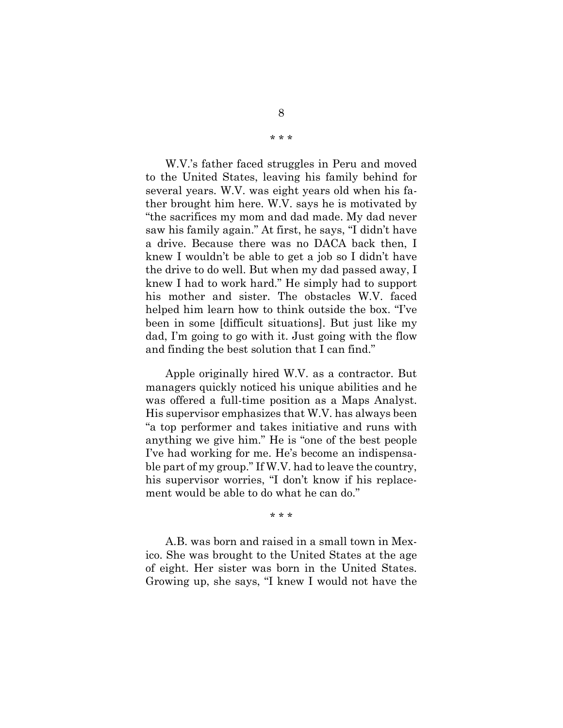W.V.'s father faced struggles in Peru and moved to the United States, leaving his family behind for several years. W.V. was eight years old when his father brought him here. W.V. says he is motivated by "the sacrifices my mom and dad made. My dad never saw his family again." At first, he says, "I didn't have a drive. Because there was no DACA back then, I knew I wouldn't be able to get a job so I didn't have the drive to do well. But when my dad passed away, I knew I had to work hard." He simply had to support his mother and sister. The obstacles W.V. faced helped him learn how to think outside the box. "I've been in some [difficult situations]. But just like my dad, I'm going to go with it. Just going with the flow and finding the best solution that I can find."

Apple originally hired W.V. as a contractor. But managers quickly noticed his unique abilities and he was offered a full-time position as a Maps Analyst. His supervisor emphasizes that W.V. has always been "a top performer and takes initiative and runs with anything we give him." He is "one of the best people I've had working for me. He's become an indispensable part of my group." If W.V. had to leave the country, his supervisor worries, "I don't know if his replacement would be able to do what he can do."

\* \* \*

A.B. was born and raised in a small town in Mexico. She was brought to the United States at the age of eight. Her sister was born in the United States. Growing up, she says, "I knew I would not have the

\* \* \*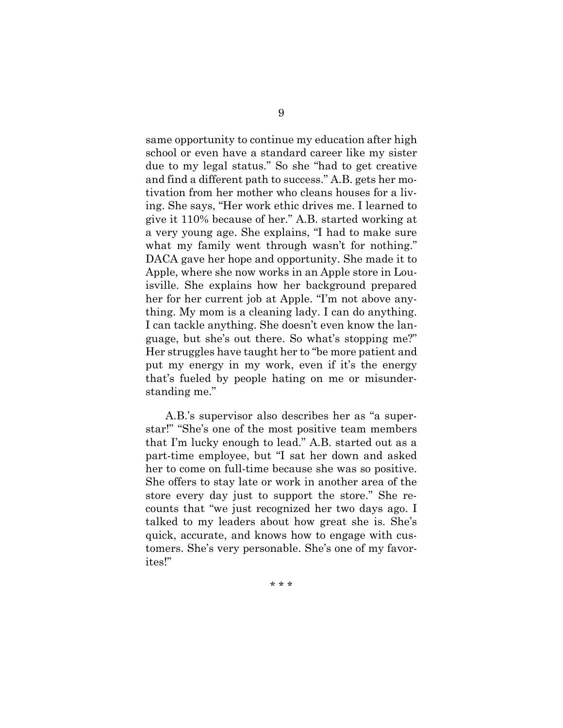same opportunity to continue my education after high school or even have a standard career like my sister due to my legal status." So she "had to get creative and find a different path to success." A.B. gets her motivation from her mother who cleans houses for a living. She says, "Her work ethic drives me. I learned to give it 110% because of her." A.B. started working at a very young age. She explains, "I had to make sure what my family went through wasn't for nothing." DACA gave her hope and opportunity. She made it to Apple, where she now works in an Apple store in Louisville. She explains how her background prepared her for her current job at Apple. "I'm not above anything. My mom is a cleaning lady. I can do anything. I can tackle anything. She doesn't even know the language, but she's out there. So what's stopping me?" Her struggles have taught her to "be more patient and put my energy in my work, even if it's the energy that's fueled by people hating on me or misunderstanding me."

A.B.'s supervisor also describes her as "a superstar!" "She's one of the most positive team members that I'm lucky enough to lead." A.B. started out as a part-time employee, but "I sat her down and asked her to come on full-time because she was so positive. She offers to stay late or work in another area of the store every day just to support the store." She recounts that "we just recognized her two days ago. I talked to my leaders about how great she is. She's quick, accurate, and knows how to engage with customers. She's very personable. She's one of my favorites!"

\* \* \*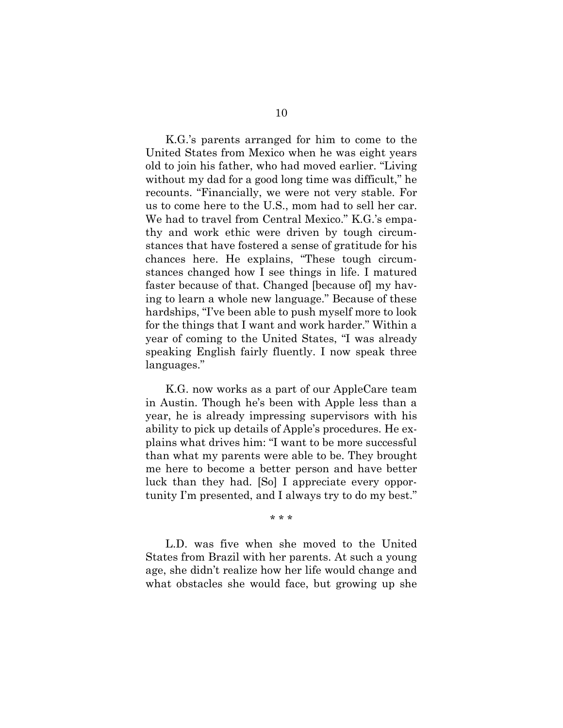K.G.'s parents arranged for him to come to the United States from Mexico when he was eight years old to join his father, who had moved earlier. "Living without my dad for a good long time was difficult," he recounts. "Financially, we were not very stable. For us to come here to the U.S., mom had to sell her car. We had to travel from Central Mexico." K.G.'s empathy and work ethic were driven by tough circumstances that have fostered a sense of gratitude for his chances here. He explains, "These tough circumstances changed how I see things in life. I matured faster because of that. Changed [because of] my having to learn a whole new language." Because of these hardships, "I've been able to push myself more to look for the things that I want and work harder." Within a year of coming to the United States, "I was already speaking English fairly fluently. I now speak three languages."

K.G. now works as a part of our AppleCare team in Austin. Though he's been with Apple less than a year, he is already impressing supervisors with his ability to pick up details of Apple's procedures. He explains what drives him: "I want to be more successful than what my parents were able to be. They brought me here to become a better person and have better luck than they had. [So] I appreciate every opportunity I'm presented, and I always try to do my best."

\* \* \*

L.D. was five when she moved to the United States from Brazil with her parents. At such a young age, she didn't realize how her life would change and what obstacles she would face, but growing up she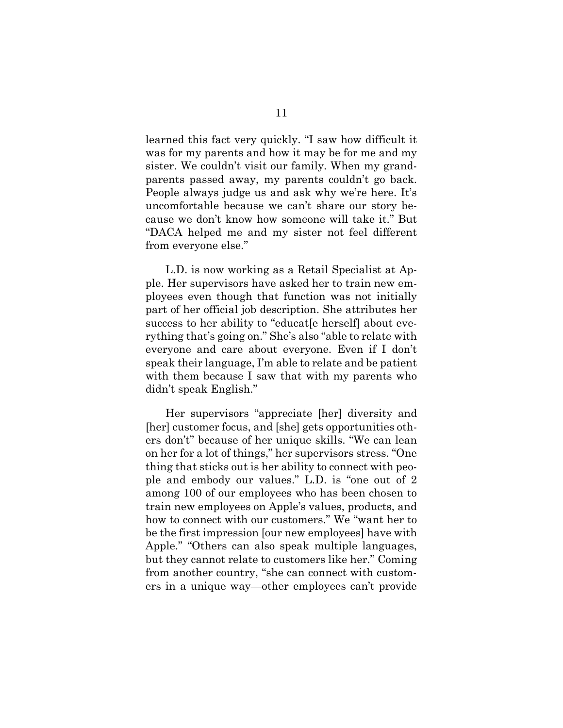learned this fact very quickly. "I saw how difficult it was for my parents and how it may be for me and my sister. We couldn't visit our family. When my grandparents passed away, my parents couldn't go back. People always judge us and ask why we're here. It's uncomfortable because we can't share our story because we don't know how someone will take it." But "DACA helped me and my sister not feel different from everyone else."

L.D. is now working as a Retail Specialist at Apple. Her supervisors have asked her to train new employees even though that function was not initially part of her official job description. She attributes her success to her ability to "educat<sup>[e herself]</sup> about everything that's going on." She's also "able to relate with everyone and care about everyone. Even if I don't speak their language, I'm able to relate and be patient with them because I saw that with my parents who didn't speak English."

Her supervisors "appreciate [her] diversity and [her] customer focus, and [she] gets opportunities others don't" because of her unique skills. "We can lean on her for a lot of things," her supervisors stress. "One thing that sticks out is her ability to connect with people and embody our values." L.D. is "one out of 2 among 100 of our employees who has been chosen to train new employees on Apple's values, products, and how to connect with our customers." We "want her to be the first impression [our new employees] have with Apple." "Others can also speak multiple languages, but they cannot relate to customers like her." Coming from another country, "she can connect with customers in a unique way—other employees can't provide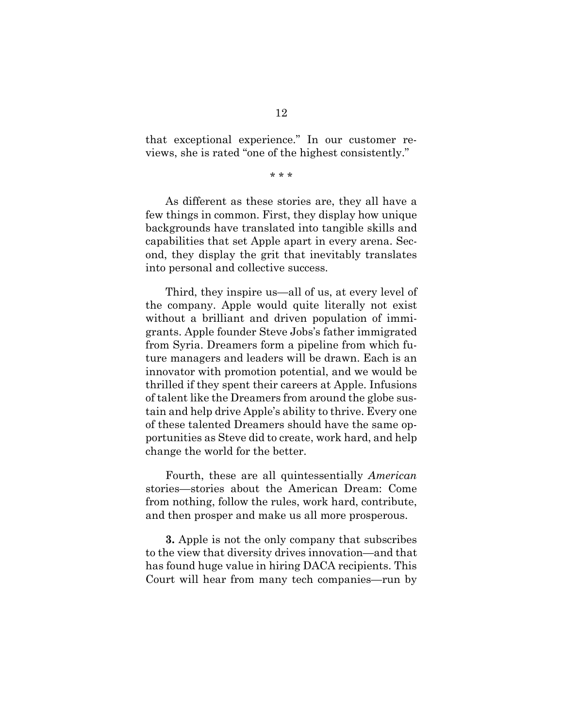that exceptional experience." In our customer reviews, she is rated "one of the highest consistently."

\* \* \*

As different as these stories are, they all have a few things in common. First, they display how unique backgrounds have translated into tangible skills and capabilities that set Apple apart in every arena. Second, they display the grit that inevitably translates into personal and collective success.

Third, they inspire us—all of us, at every level of the company. Apple would quite literally not exist without a brilliant and driven population of immigrants. Apple founder Steve Jobs's father immigrated from Syria. Dreamers form a pipeline from which future managers and leaders will be drawn. Each is an innovator with promotion potential, and we would be thrilled if they spent their careers at Apple. Infusions of talent like the Dreamers from around the globe sustain and help drive Apple's ability to thrive. Every one of these talented Dreamers should have the same opportunities as Steve did to create, work hard, and help change the world for the better.

Fourth, these are all quintessentially *American*  stories—stories about the American Dream: Come from nothing, follow the rules, work hard, contribute, and then prosper and make us all more prosperous.

**3.** Apple is not the only company that subscribes to the view that diversity drives innovation—and that has found huge value in hiring DACA recipients. This Court will hear from many tech companies—run by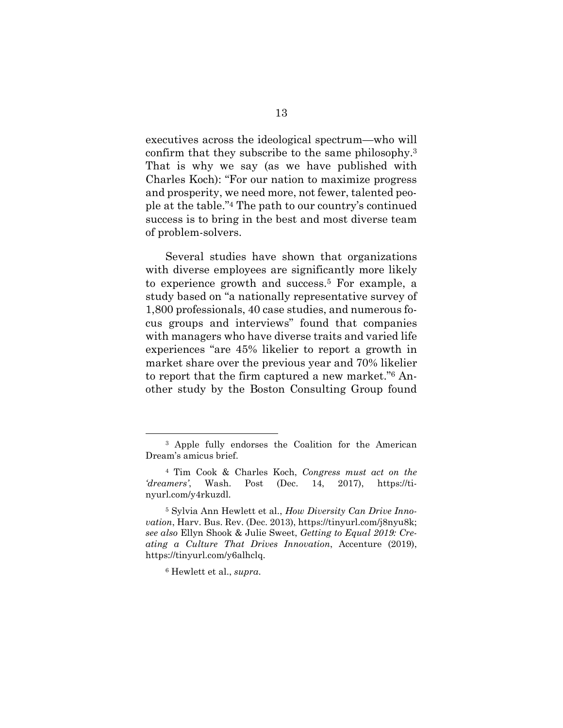executives across the ideological spectrum—who will confirm that they subscribe to the same philosophy.<sup>3</sup> That is why we say (as we have published with Charles Koch): "For our nation to maximize progress and prosperity, we need more, not fewer, talented people at the table."4 The path to our country's continued success is to bring in the best and most diverse team of problem-solvers.

Several studies have shown that organizations with diverse employees are significantly more likely to experience growth and success.5 For example, a study based on "a nationally representative survey of 1,800 professionals, 40 case studies, and numerous focus groups and interviews" found that companies with managers who have diverse traits and varied life experiences "are 45% likelier to report a growth in market share over the previous year and 70% likelier to report that the firm captured a new market."6 Another study by the Boston Consulting Group found

l

<sup>3</sup> Apple fully endorses the Coalition for the American Dream's amicus brief.

<sup>4</sup> Tim Cook & Charles Koch, *Congress must act on the 'dreamers'*, Wash. Post (Dec. 14, 2017), https://tinyurl.com/y4rkuzdl.

<sup>5</sup> Sylvia Ann Hewlett et al., *How Diversity Can Drive Innovation*, Harv. Bus. Rev. (Dec. 2013), https://tinyurl.com/j8nyu8k; *see also* Ellyn Shook & Julie Sweet, *Getting to Equal 2019: Creating a Culture That Drives Innovation*, Accenture (2019), https://tinyurl.com/y6alhclq.

<sup>6</sup> Hewlett et al., *supra*.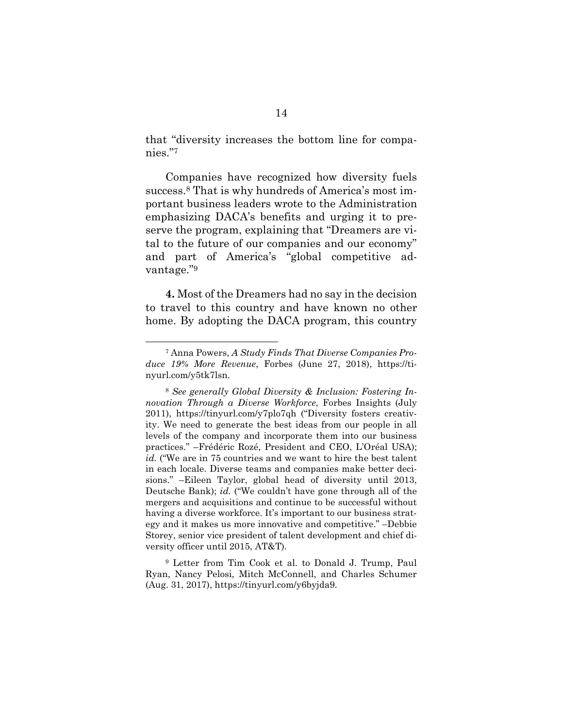that "diversity increases the bottom line for companies."<sup>7</sup>

Companies have recognized how diversity fuels success.8 That is why hundreds of America's most important business leaders wrote to the Administration emphasizing DACA's benefits and urging it to preserve the program, explaining that "Dreamers are vital to the future of our companies and our economy" and part of America's "global competitive advantage."<sup>9</sup>

**4.** Most of the Dreamers had no say in the decision to travel to this country and have known no other home. By adopting the DACA program, this country

<sup>7</sup> Anna Powers, *A Study Finds That Diverse Companies Produce 19% More Revenue*, Forbes (June 27, 2018), https://tinyurl.com/y5tk7lsn.

<sup>8</sup> *See generally Global Diversity & Inclusion: Fostering Innovation Through a Diverse Workforce*, Forbes Insights (July 2011), https://tinyurl.com/y7plo7qh ("Diversity fosters creativity. We need to generate the best ideas from our people in all levels of the company and incorporate them into our business practices." –Frédéric Rozé, President and CEO, L'Oréal USA); *id.* ("We are in 75 countries and we want to hire the best talent in each locale. Diverse teams and companies make better decisions." –Eileen Taylor, global head of diversity until 2013, Deutsche Bank); *id.* ("We couldn't have gone through all of the mergers and acquisitions and continue to be successful without having a diverse workforce. It's important to our business strategy and it makes us more innovative and competitive." –Debbie Storey, senior vice president of talent development and chief diversity officer until 2015, AT&T).

<sup>9</sup> Letter from Tim Cook et al. to Donald J. Trump, Paul Ryan, Nancy Pelosi, Mitch McConnell, and Charles Schumer (Aug. 31, 2017), https://tinyurl.com/y6byjda9.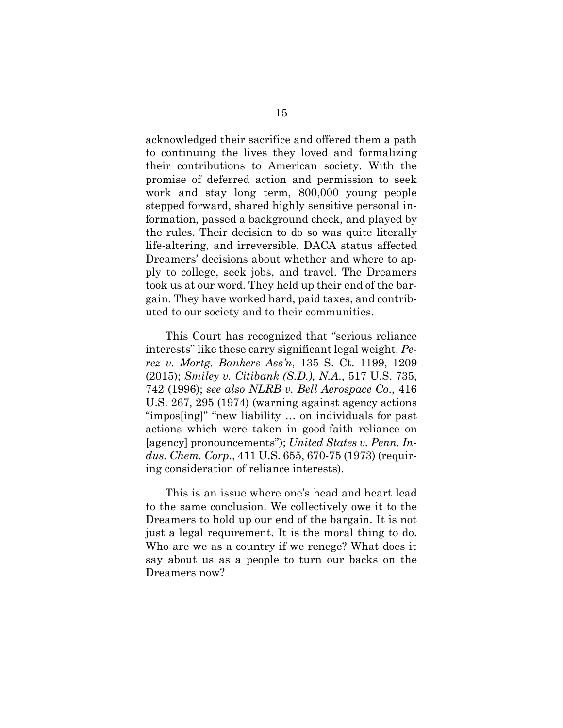acknowledged their sacrifice and offered them a path to continuing the lives they loved and formalizing their contributions to American society. With the promise of deferred action and permission to seek work and stay long term, 800,000 young people stepped forward, shared highly sensitive personal information, passed a background check, and played by the rules. Their decision to do so was quite literally life-altering, and irreversible. DACA status affected Dreamers' decisions about whether and where to apply to college, seek jobs, and travel. The Dreamers took us at our word. They held up their end of the bargain. They have worked hard, paid taxes, and contributed to our society and to their communities.

This Court has recognized that "serious reliance interests" like these carry significant legal weight. *Perez v. Mortg. Bankers Ass'n*, 135 S. Ct. 1199, 1209 (2015); *Smiley v. Citibank (S.D.), N.A*., 517 U.S. 735, 742 (1996); *see also NLRB v. Bell Aerospace Co*., 416 U.S. 267, 295 (1974) (warning against agency actions "impos[ing]" "new liability … on individuals for past actions which were taken in good-faith reliance on [agency] pronouncements"); *United States v. Penn. Indus. Chem. Corp*., 411 U.S. 655, 670-75 (1973) (requiring consideration of reliance interests).

This is an issue where one's head and heart lead to the same conclusion. We collectively owe it to the Dreamers to hold up our end of the bargain. It is not just a legal requirement. It is the moral thing to do. Who are we as a country if we renege? What does it say about us as a people to turn our backs on the Dreamers now?